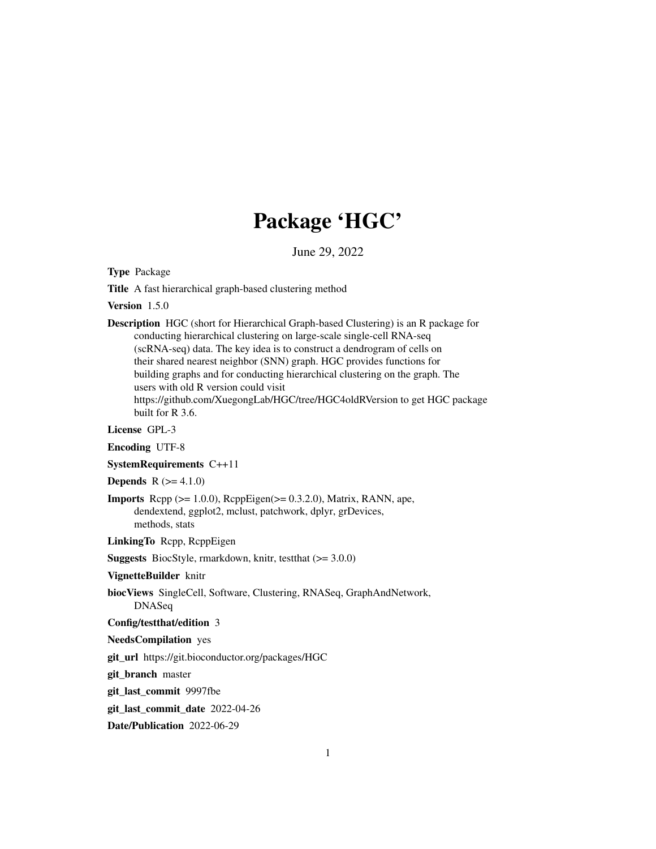# Package 'HGC'

June 29, 2022

<span id="page-0-0"></span>Type Package

Title A fast hierarchical graph-based clustering method

Version 1.5.0

Description HGC (short for Hierarchical Graph-based Clustering) is an R package for conducting hierarchical clustering on large-scale single-cell RNA-seq (scRNA-seq) data. The key idea is to construct a dendrogram of cells on their shared nearest neighbor (SNN) graph. HGC provides functions for building graphs and for conducting hierarchical clustering on the graph. The users with old R version could visit https://github.com/XuegongLab/HGC/tree/HGC4oldRVersion to get HGC package built for R 3.6.

License GPL-3

Encoding UTF-8

SystemRequirements C++11

**Depends**  $R (= 4.1.0)$ 

**Imports** Rcpp ( $>= 1.0.0$ ), RcppEigen( $>= 0.3.2.0$ ), Matrix, RANN, ape, dendextend, ggplot2, mclust, patchwork, dplyr, grDevices, methods, stats

LinkingTo Rcpp, RcppEigen

**Suggests** BiocStyle, rmarkdown, knitr, test that  $(>= 3.0.0)$ 

VignetteBuilder knitr

biocViews SingleCell, Software, Clustering, RNASeq, GraphAndNetwork, DNASeq

Config/testthat/edition 3

NeedsCompilation yes

git\_url https://git.bioconductor.org/packages/HGC

git branch master

git\_last\_commit 9997fbe

git last commit date 2022-04-26

Date/Publication 2022-06-29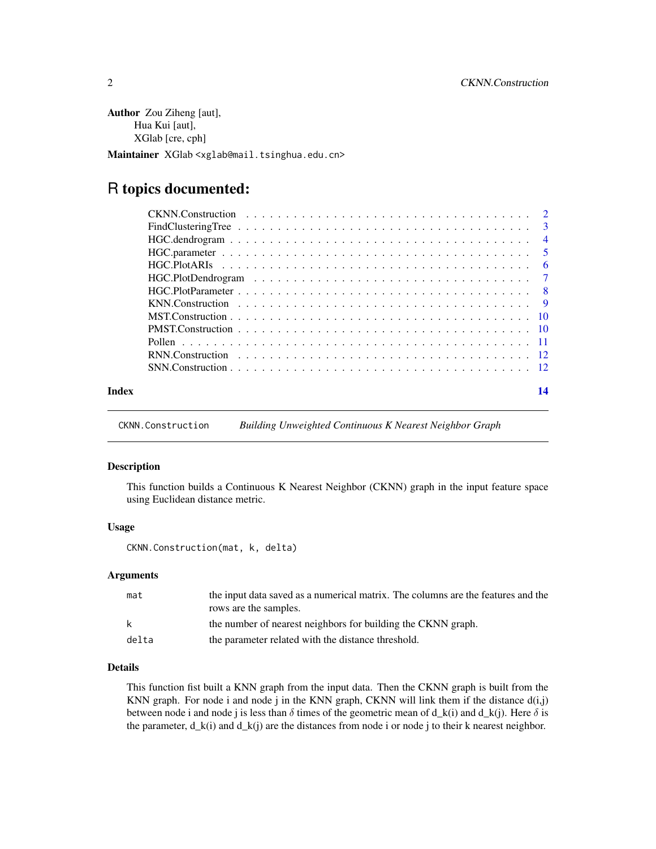<span id="page-1-0"></span>Author Zou Ziheng [aut], Hua Kui [aut], XGlab [cre, cph] Maintainer XGlab <xglab@mail.tsinghua.edu.cn>

# R topics documented:

| Index | 14 |
|-------|----|

CKNN.Construction *Building Unweighted Continuous K Nearest Neighbor Graph*

# Description

This function builds a Continuous K Nearest Neighbor (CKNN) graph in the input feature space using Euclidean distance metric.

# Usage

CKNN.Construction(mat, k, delta)

#### Arguments

| mat   | the input data saved as a numerical matrix. The columns are the features and the |
|-------|----------------------------------------------------------------------------------|
|       | rows are the samples.                                                            |
| k     | the number of nearest neighbors for building the CKNN graph.                     |
| delta | the parameter related with the distance threshold.                               |

# Details

This function fist built a KNN graph from the input data. Then the CKNN graph is built from the KNN graph. For node i and node j in the KNN graph, CKNN will link them if the distance  $d(i,j)$ between node i and node j is less than  $\delta$  times of the geometric mean of d\_k(i) and d\_k(j). Here  $\delta$  is the parameter,  $d_k(i)$  and  $d_k(j)$  are the distances from node i or node j to their k nearest neighbor.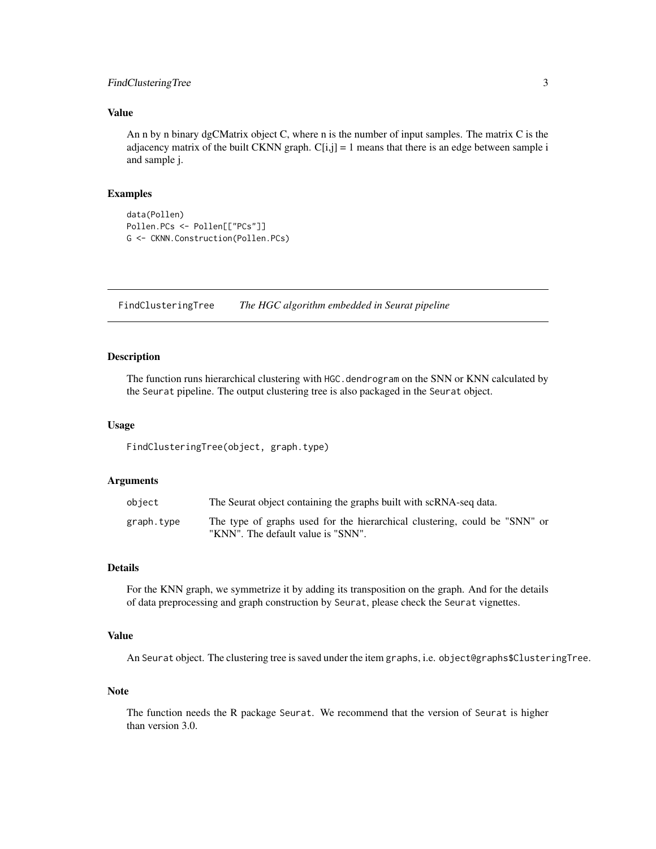# <span id="page-2-0"></span>FindClusteringTree 3

# Value

An n by n binary dgCMatrix object C, where n is the number of input samples. The matrix C is the adjacency matrix of the built CKNN graph.  $C[i,j] = 1$  means that there is an edge between sample i and sample j.

# Examples

```
data(Pollen)
Pollen.PCs <- Pollen[["PCs"]]
G <- CKNN.Construction(Pollen.PCs)
```
FindClusteringTree *The HGC algorithm embedded in Seurat pipeline*

#### Description

The function runs hierarchical clustering with HGC. dendrogram on the SNN or KNN calculated by the Seurat pipeline. The output clustering tree is also packaged in the Seurat object.

#### Usage

FindClusteringTree(object, graph.type)

#### Arguments

| object     | The Seurat object containing the graphs built with scRNA-seq data.                                               |
|------------|------------------------------------------------------------------------------------------------------------------|
| graph.type | The type of graphs used for the hierarchical clustering, could be "SNN" or<br>"KNN". The default value is "SNN". |

# Details

For the KNN graph, we symmetrize it by adding its transposition on the graph. And for the details of data preprocessing and graph construction by Seurat, please check the Seurat vignettes.

# Value

An Seurat object. The clustering tree is saved under the item graphs, i.e. object@graphs\$ClusteringTree.

# Note

The function needs the R package Seurat. We recommend that the version of Seurat is higher than version 3.0.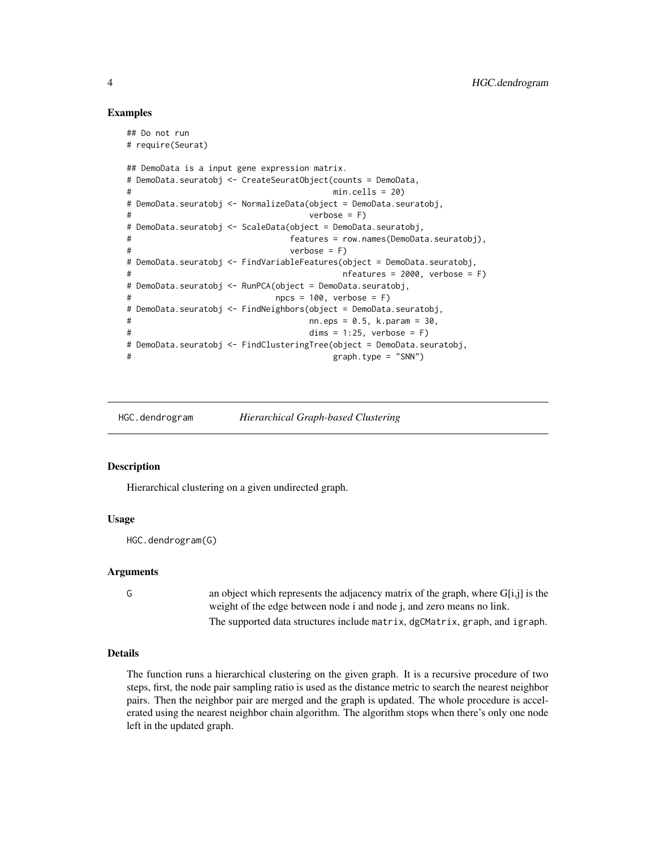# Examples

```
## Do not run
# require(Seurat)
## DemoData is a input gene expression matrix.
# DemoData.seuratobj <- CreateSeuratObject(counts = DemoData,
# min.cells = 20)
# DemoData.seuratobj <- NormalizeData(object = DemoData.seuratobj,
# verbose = F)
# DemoData.seuratobj <- ScaleData(object = DemoData.seuratobj,
# features = row.names(DemoData.seuratobj),
# verbose = F)
# DemoData.seuratobj <- FindVariableFeatures(object = DemoData.seuratobj,
# nfeatures = 2000, verbose = F)
# DemoData.seuratobj <- RunPCA(object = DemoData.seuratobj,
# npcs = 100, verbose = F)
# DemoData.seuratobj <- FindNeighbors(object = DemoData.seuratobj,
# nn.eps = 0.5, k.param = 30,
# dims = 1:25, verbose = F)
# DemoData.seuratobj <- FindClusteringTree(object = DemoData.seuratobj,
# graph.type = "SNN")
```
HGC.dendrogram *Hierarchical Graph-based Clustering*

#### Description

Hierarchical clustering on a given undirected graph.

#### Usage

HGC.dendrogram(G)

#### Arguments

G an object which represents the adjacency matrix of the graph, where G[i,j] is the weight of the edge between node i and node j, and zero means no link. The supported data structures include matrix, dgCMatrix, graph, and igraph.

#### Details

The function runs a hierarchical clustering on the given graph. It is a recursive procedure of two steps, first, the node pair sampling ratio is used as the distance metric to search the nearest neighbor pairs. Then the neighbor pair are merged and the graph is updated. The whole procedure is accelerated using the nearest neighbor chain algorithm. The algorithm stops when there's only one node left in the updated graph.

<span id="page-3-0"></span>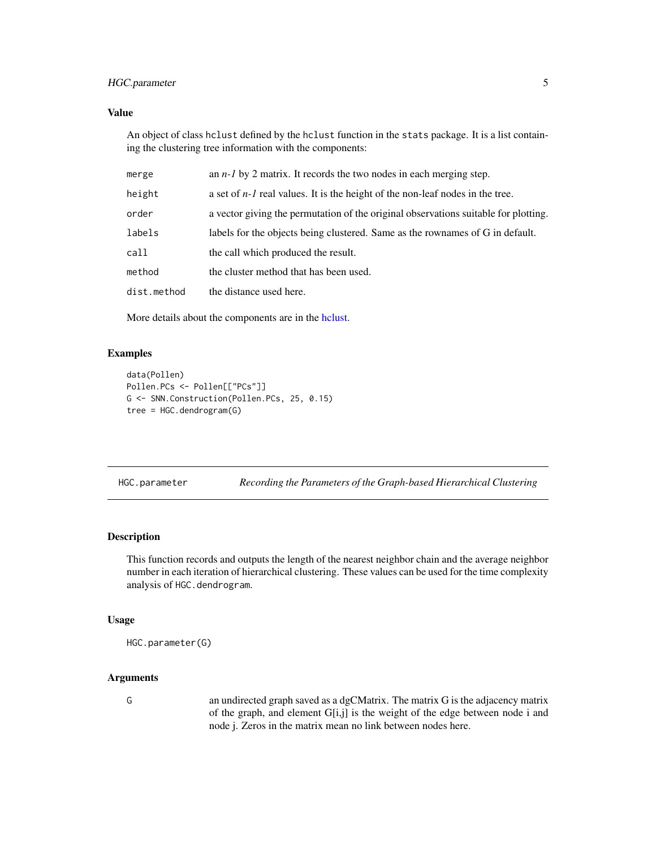# <span id="page-4-0"></span>HGC.parameter 5

# Value

An object of class hclust defined by the hclust function in the stats package. It is a list containing the clustering tree information with the components:

| merge       | an $n-1$ by 2 matrix. It records the two nodes in each merging step.                |
|-------------|-------------------------------------------------------------------------------------|
| height      | a set of $n-1$ real values. It is the height of the non-leaf nodes in the tree.     |
| order       | a vector giving the permutation of the original observations suitable for plotting. |
| labels      | labels for the objects being clustered. Same as the rownames of G in default.       |
| call        | the call which produced the result.                                                 |
| method      | the cluster method that has been used.                                              |
| dist.method | the distance used here.                                                             |
|             |                                                                                     |

More details about the components are in the [hclust.](#page-0-0)

# Examples

```
data(Pollen)
Pollen.PCs <- Pollen[["PCs"]]
G <- SNN.Construction(Pollen.PCs, 25, 0.15)
tree = HGC.dendrogram(G)
```

|  | HGC.parameter | Recording the Parameters of the Graph-based Hierarchical Clustering |
|--|---------------|---------------------------------------------------------------------|
|--|---------------|---------------------------------------------------------------------|

# Description

This function records and outputs the length of the nearest neighbor chain and the average neighbor number in each iteration of hierarchical clustering. These values can be used for the time complexity analysis of HGC.dendrogram.

# Usage

```
HGC.parameter(G)
```
# Arguments

G an undirected graph saved as a dgCMatrix. The matrix G is the adjacency matrix of the graph, and element G[i,j] is the weight of the edge between node i and node j. Zeros in the matrix mean no link between nodes here.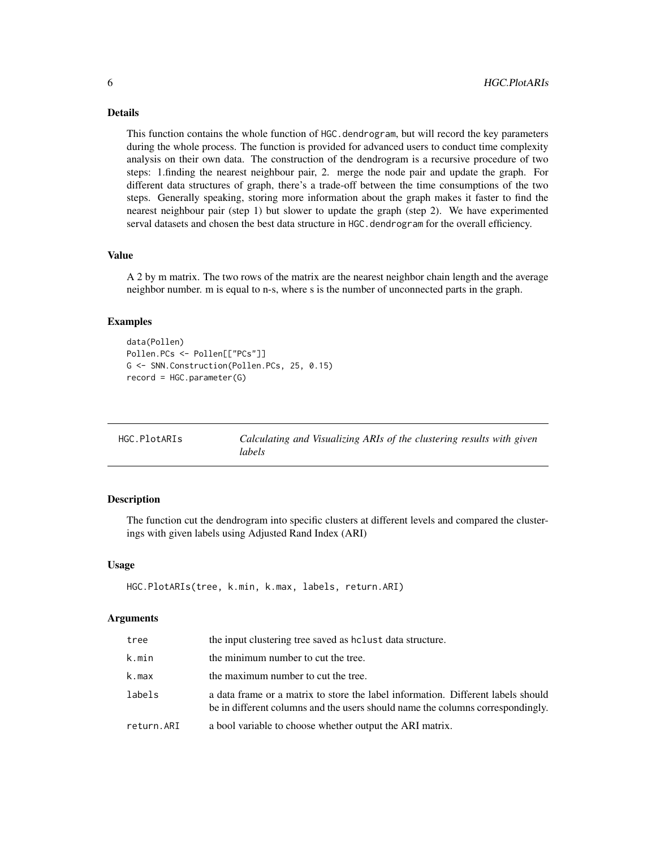# <span id="page-5-0"></span>Details

This function contains the whole function of HGC.dendrogram, but will record the key parameters during the whole process. The function is provided for advanced users to conduct time complexity analysis on their own data. The construction of the dendrogram is a recursive procedure of two steps: 1.finding the nearest neighbour pair, 2. merge the node pair and update the graph. For different data structures of graph, there's a trade-off between the time consumptions of the two steps. Generally speaking, storing more information about the graph makes it faster to find the nearest neighbour pair (step 1) but slower to update the graph (step 2). We have experimented serval datasets and chosen the best data structure in HGC. dendrogram for the overall efficiency.

# Value

A 2 by m matrix. The two rows of the matrix are the nearest neighbor chain length and the average neighbor number. m is equal to n-s, where s is the number of unconnected parts in the graph.

#### Examples

```
data(Pollen)
Pollen.PCs <- Pollen[["PCs"]]
G <- SNN.Construction(Pollen.PCs, 25, 0.15)
record = HGC.parameter(G)
```

| HGC.PlotARIs | Calculating and Visualizing ARIs of the clustering results with given |
|--------------|-----------------------------------------------------------------------|
|              | labels                                                                |

# Description

The function cut the dendrogram into specific clusters at different levels and compared the clusterings with given labels using Adjusted Rand Index (ARI)

# Usage

```
HGC.PlotARIs(tree, k.min, k.max, labels, return.ARI)
```
# Arguments

| tree       | the input clustering tree saved as holust data structure.                                                                                                          |
|------------|--------------------------------------------------------------------------------------------------------------------------------------------------------------------|
| k.min      | the minimum number to cut the tree.                                                                                                                                |
| k.max      | the maximum number to cut the tree.                                                                                                                                |
| labels     | a data frame or a matrix to store the label information. Different labels should<br>be in different columns and the users should name the columns correspondingly. |
| return.ARI | a bool variable to choose whether output the ARI matrix.                                                                                                           |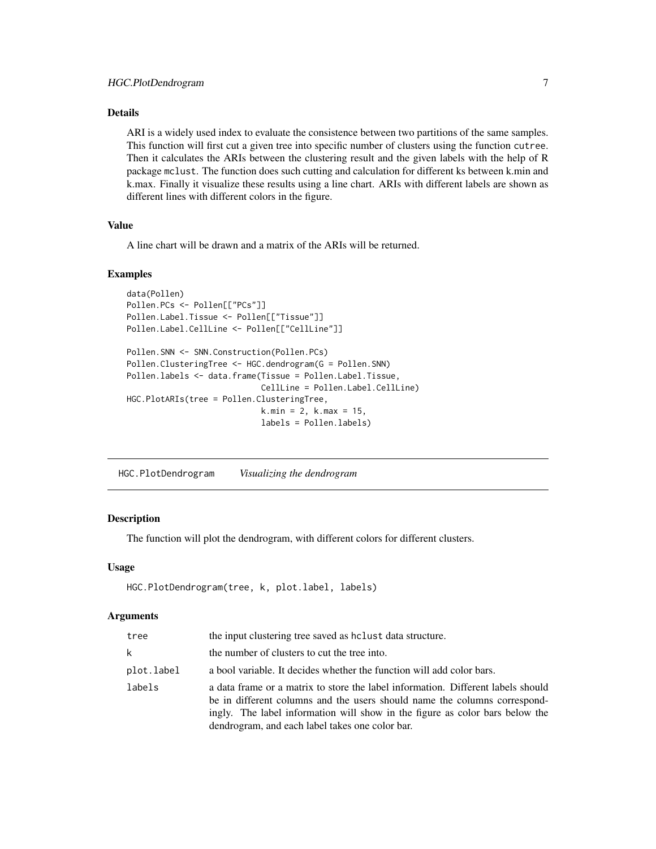# <span id="page-6-0"></span>Details

ARI is a widely used index to evaluate the consistence between two partitions of the same samples. This function will first cut a given tree into specific number of clusters using the function cutree. Then it calculates the ARIs between the clustering result and the given labels with the help of R package mclust. The function does such cutting and calculation for different ks between k.min and k.max. Finally it visualize these results using a line chart. ARIs with different labels are shown as different lines with different colors in the figure.

# Value

A line chart will be drawn and a matrix of the ARIs will be returned.

#### Examples

```
data(Pollen)
Pollen.PCs <- Pollen[["PCs"]]
Pollen.Label.Tissue <- Pollen[["Tissue"]]
Pollen.Label.CellLine <- Pollen[["CellLine"]]
Pollen.SNN <- SNN.Construction(Pollen.PCs)
Pollen.ClusteringTree <- HGC.dendrogram(G = Pollen.SNN)
Pollen.labels <- data.frame(Tissue = Pollen.Label.Tissue,
                            CellLine = Pollen.Label.CellLine)
HGC.PlotARIs(tree = Pollen.ClusteringTree,
                            k.min = 2, k.max = 15,
                            labels = Pollen.labels)
```
HGC.PlotDendrogram *Visualizing the dendrogram*

# Description

The function will plot the dendrogram, with different colors for different clusters.

#### Usage

```
HGC.PlotDendrogram(tree, k, plot.label, labels)
```
#### Arguments

| tree       | the input clustering tree saved as holist data structure.                                                                                                                                                                                                                                        |
|------------|--------------------------------------------------------------------------------------------------------------------------------------------------------------------------------------------------------------------------------------------------------------------------------------------------|
| k          | the number of clusters to cut the tree into.                                                                                                                                                                                                                                                     |
| plot.label | a bool variable. It decides whether the function will add color bars.                                                                                                                                                                                                                            |
| labels     | a data frame or a matrix to store the label information. Different labels should<br>be in different columns and the users should name the columns correspond-<br>ingly. The label information will show in the figure as color bars below the<br>dendrogram, and each label takes one color bar. |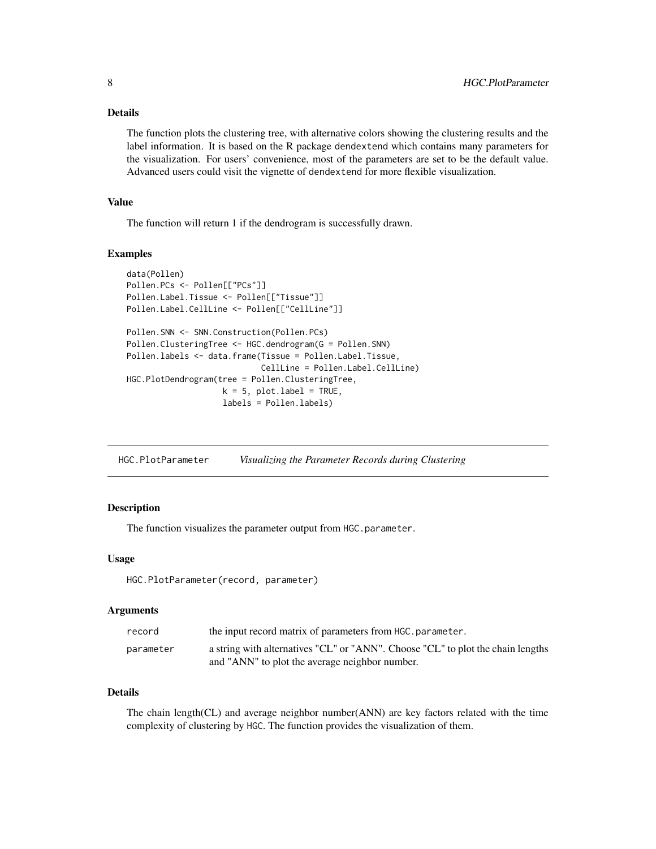# <span id="page-7-0"></span>Details

The function plots the clustering tree, with alternative colors showing the clustering results and the label information. It is based on the R package dendextend which contains many parameters for the visualization. For users' convenience, most of the parameters are set to be the default value. Advanced users could visit the vignette of dendextend for more flexible visualization.

# Value

The function will return 1 if the dendrogram is successfully drawn.

#### Examples

```
data(Pollen)
Pollen.PCs <- Pollen[["PCs"]]
Pollen.Label.Tissue <- Pollen[["Tissue"]]
Pollen.Label.CellLine <- Pollen[["CellLine"]]
Pollen.SNN <- SNN.Construction(Pollen.PCs)
Pollen.ClusteringTree <- HGC.dendrogram(G = Pollen.SNN)
Pollen.labels <- data.frame(Tissue = Pollen.Label.Tissue,
                            CellLine = Pollen.Label.CellLine)
HGC.PlotDendrogram(tree = Pollen.ClusteringTree,
                    k = 5, plot.label = TRUE,
                    labels = Pollen.labels)
```
HGC.PlotParameter *Visualizing the Parameter Records during Clustering*

# Description

The function visualizes the parameter output from HGC.parameter.

#### Usage

```
HGC.PlotParameter(record, parameter)
```
#### Arguments

| record    | the input record matrix of parameters from HGC, parameter.                                                                        |
|-----------|-----------------------------------------------------------------------------------------------------------------------------------|
| parameter | a string with alternatives "CL" or "ANN". Choose "CL" to plot the chain lengths<br>and "ANN" to plot the average neighbor number. |

# Details

The chain length(CL) and average neighbor number(ANN) are key factors related with the time complexity of clustering by HGC. The function provides the visualization of them.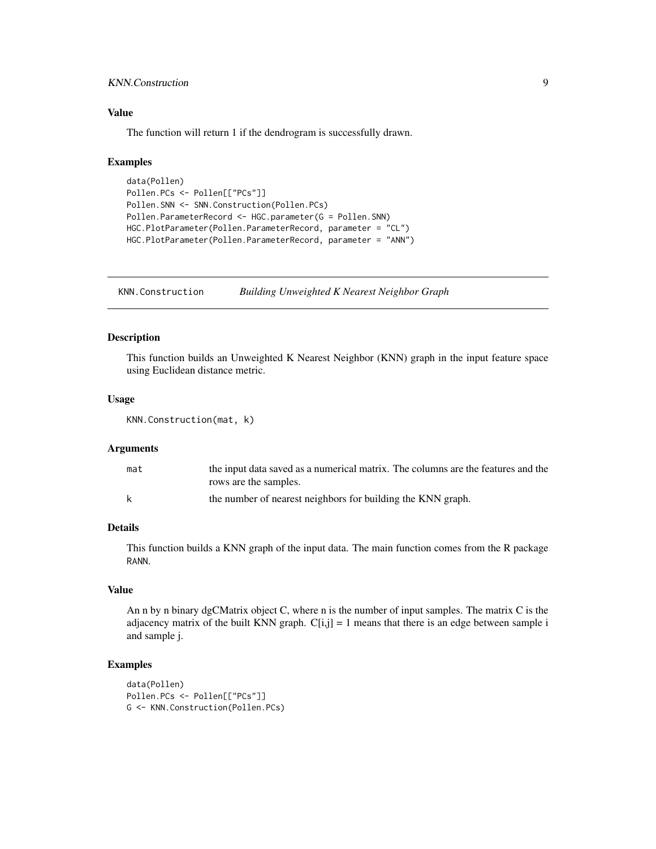# <span id="page-8-0"></span>KNN.Construction 9

# Value

The function will return 1 if the dendrogram is successfully drawn.

# Examples

```
data(Pollen)
Pollen.PCs <- Pollen[["PCs"]]
Pollen.SNN <- SNN.Construction(Pollen.PCs)
Pollen.ParameterRecord <- HGC.parameter(G = Pollen.SNN)
HGC.PlotParameter(Pollen.ParameterRecord, parameter = "CL")
HGC.PlotParameter(Pollen.ParameterRecord, parameter = "ANN")
```
KNN.Construction *Building Unweighted K Nearest Neighbor Graph*

## Description

This function builds an Unweighted K Nearest Neighbor (KNN) graph in the input feature space using Euclidean distance metric.

#### Usage

```
KNN.Construction(mat, k)
```
# Arguments

| mat | the input data saved as a numerical matrix. The columns are the features and the |
|-----|----------------------------------------------------------------------------------|
|     | rows are the samples.                                                            |
| k   | the number of nearest neighbors for building the KNN graph.                      |

# Details

This function builds a KNN graph of the input data. The main function comes from the R package RANN.

# Value

An n by n binary dgCMatrix object C, where n is the number of input samples. The matrix C is the adjacency matrix of the built KNN graph.  $C[i,j] = 1$  means that there is an edge between sample i and sample j.

#### Examples

```
data(Pollen)
Pollen.PCs <- Pollen[["PCs"]]
G <- KNN.Construction(Pollen.PCs)
```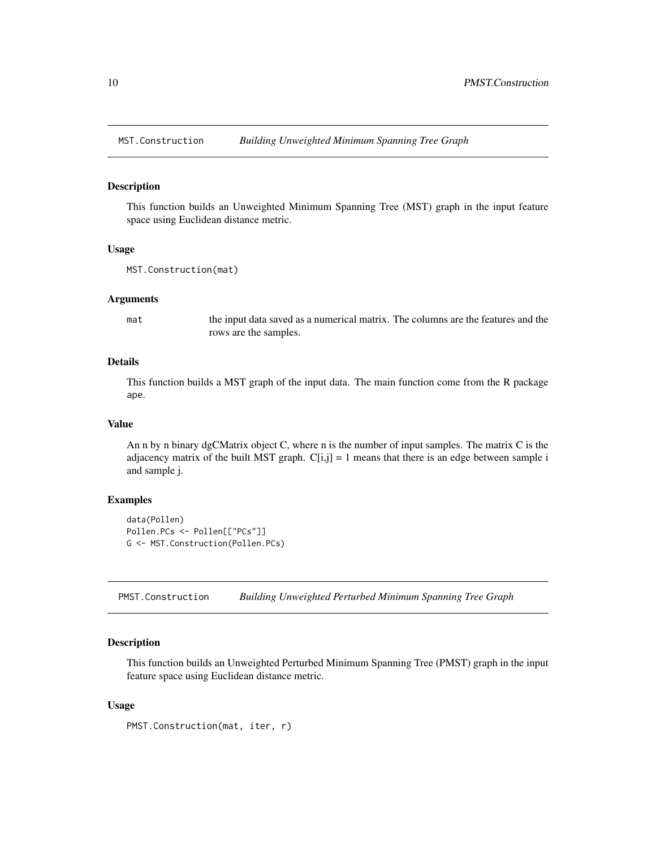<span id="page-9-0"></span>

#### Description

This function builds an Unweighted Minimum Spanning Tree (MST) graph in the input feature space using Euclidean distance metric.

#### Usage

```
MST.Construction(mat)
```
#### Arguments

mat the input data saved as a numerical matrix. The columns are the features and the rows are the samples.

# Details

This function builds a MST graph of the input data. The main function come from the R package ape.

#### Value

An n by n binary dgCMatrix object C, where n is the number of input samples. The matrix C is the adjacency matrix of the built MST graph.  $C[i,j] = 1$  means that there is an edge between sample i and sample j.

# Examples

```
data(Pollen)
Pollen.PCs <- Pollen[["PCs"]]
G <- MST.Construction(Pollen.PCs)
```
PMST.Construction *Building Unweighted Perturbed Minimum Spanning Tree Graph*

# Description

This function builds an Unweighted Perturbed Minimum Spanning Tree (PMST) graph in the input feature space using Euclidean distance metric.

#### Usage

```
PMST.Construction(mat, iter, r)
```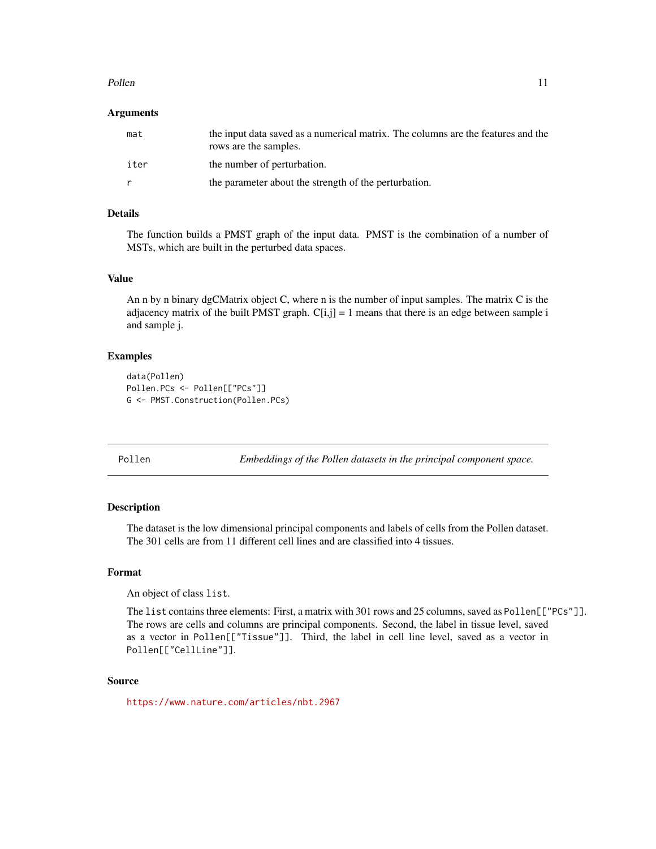#### <span id="page-10-0"></span>Pollen 2008 and 2009 and 2009 and 2009 and 2009 and 2009 and 2009 and 2009 and 2009 and 2009 and 2009 and 2009  $\pm 11$

#### Arguments

| mat  | the input data saved as a numerical matrix. The columns are the features and the<br>rows are the samples. |
|------|-----------------------------------------------------------------------------------------------------------|
| iter | the number of perturbation.                                                                               |
|      | the parameter about the strength of the perturbation.                                                     |

# Details

The function builds a PMST graph of the input data. PMST is the combination of a number of MSTs, which are built in the perturbed data spaces.

# Value

An n by n binary dgCMatrix object C, where n is the number of input samples. The matrix C is the adjacency matrix of the built PMST graph.  $C[i,j] = 1$  means that there is an edge between sample i and sample j.

### Examples

```
data(Pollen)
Pollen.PCs <- Pollen[["PCs"]]
G <- PMST.Construction(Pollen.PCs)
```
Pollen *Embeddings of the Pollen datasets in the principal component space.*

# Description

The dataset is the low dimensional principal components and labels of cells from the Pollen dataset. The 301 cells are from 11 different cell lines and are classified into 4 tissues.

# Format

An object of class list.

The list contains three elements: First, a matrix with 301 rows and 25 columns, saved as Pollen[["PCs"]]. The rows are cells and columns are principal components. Second, the label in tissue level, saved as a vector in Pollen[["Tissue"]]. Third, the label in cell line level, saved as a vector in Pollen[["CellLine"]].

#### Source

<https://www.nature.com/articles/nbt.2967>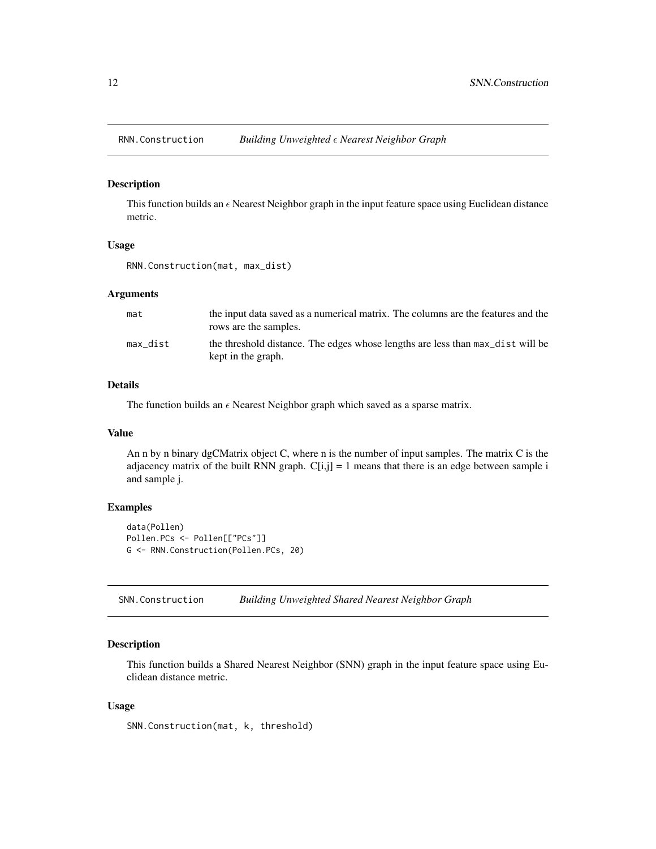<span id="page-11-0"></span>

#### Description

This function builds an  $\epsilon$  Nearest Neighbor graph in the input feature space using Euclidean distance metric.

#### Usage

RNN.Construction(mat, max\_dist)

# Arguments

| mat      | the input data saved as a numerical matrix. The columns are the features and the<br>rows are the samples. |
|----------|-----------------------------------------------------------------------------------------------------------|
| max dist | the threshold distance. The edges whose lengths are less than max dist will be<br>kept in the graph.      |

# Details

The function builds an  $\epsilon$  Nearest Neighbor graph which saved as a sparse matrix.

#### Value

An n by n binary dgCMatrix object C, where n is the number of input samples. The matrix C is the adjacency matrix of the built RNN graph.  $C[i,j] = 1$  means that there is an edge between sample i and sample j.

# Examples

```
data(Pollen)
Pollen.PCs <- Pollen[["PCs"]]
G <- RNN.Construction(Pollen.PCs, 20)
```
SNN.Construction *Building Unweighted Shared Nearest Neighbor Graph*

#### Description

This function builds a Shared Nearest Neighbor (SNN) graph in the input feature space using Euclidean distance metric.

#### Usage

SNN.Construction(mat, k, threshold)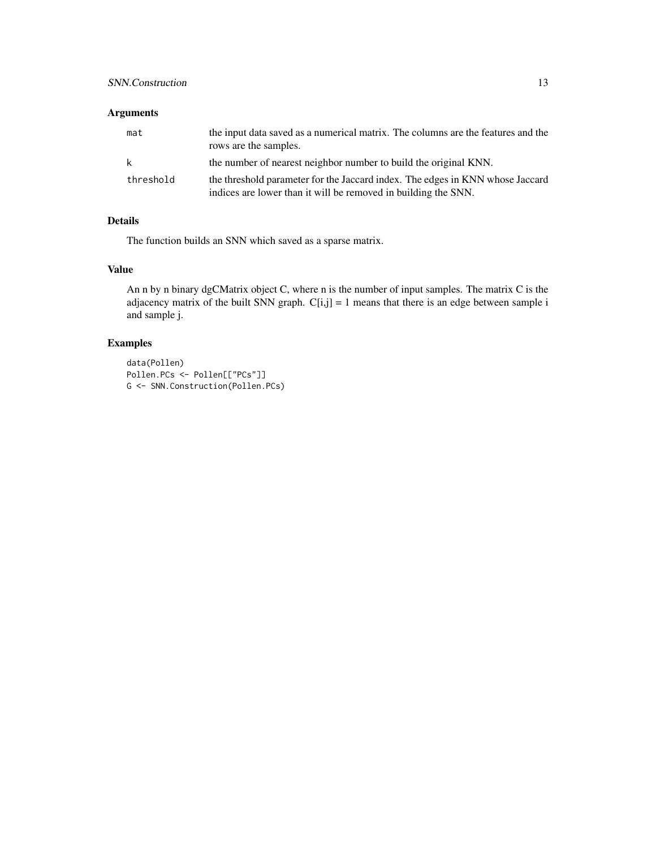# SNN.Construction 13

# Arguments

| mat       | the input data saved as a numerical matrix. The columns are the features and the<br>rows are the samples.                                       |
|-----------|-------------------------------------------------------------------------------------------------------------------------------------------------|
| k         | the number of nearest neighbor number to build the original KNN.                                                                                |
| threshold | the threshold parameter for the Jaccard index. The edges in KNN whose Jaccard<br>indices are lower than it will be removed in building the SNN. |

# Details

The function builds an SNN which saved as a sparse matrix.

# Value

An n by n binary dgCMatrix object C, where n is the number of input samples. The matrix C is the adjacency matrix of the built SNN graph.  $C[i,j] = 1$  means that there is an edge between sample i and sample j.

# Examples

```
data(Pollen)
Pollen.PCs <- Pollen[["PCs"]]
G <- SNN.Construction(Pollen.PCs)
```